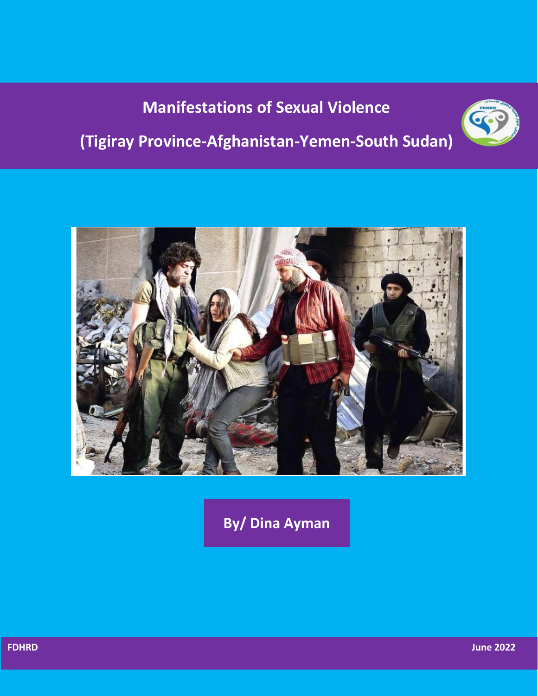# **Manifestations of Sexual Violence**



# **)Tigiray Province-Afghanistan-Yemen-South Sudan(**



**By/ Dina Ayman**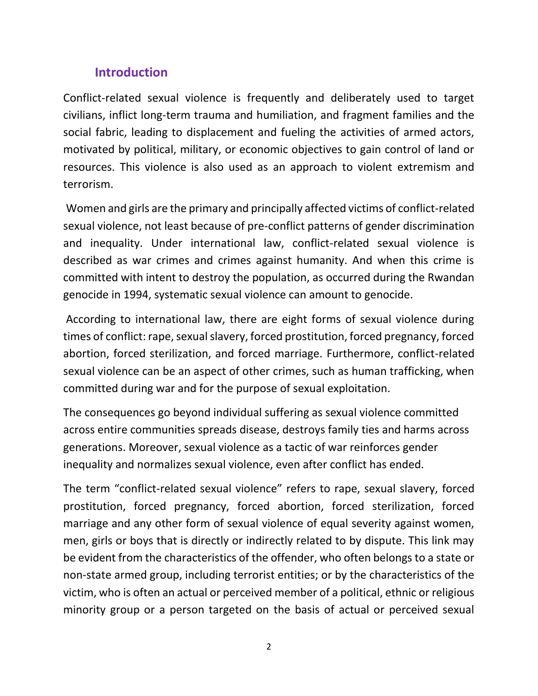## **Introduction**

Conflict-related sexual violence is frequently and deliberately used to target civilians, inflict long-term trauma and humiliation, and fragment families and the social fabric, leading to displacement and fueling the activities of armed actors, motivated by political, military, or economic objectives to gain control of land or resources. This violence is also used as an approach to violent extremism and terrorism.

Women and girls are the primary and principally affected victims of conflict-related sexual violence, not least because of pre-conflict patterns of gender discrimination and inequality. Under international law, conflict-related sexual violence is described as war crimes and crimes against humanity. And when this crime is committed with intent to destroy the population, as occurred during the Rwandan genocide in 1994, systematic sexual violence can amount to genocide.

According to international law, there are eight forms of sexual violence during times of conflict: rape, sexual slavery, forced prostitution, forced pregnancy, forced abortion, forced sterilization, and forced marriage. Furthermore, conflict-related sexual violence can be an aspect of other crimes, such as human trafficking, when committed during war and for the purpose of sexual exploitation.

The consequences go beyond individual suffering as sexual violence committed across entire communities spreads disease, destroys family ties and harms across generations. Moreover, sexual violence as a tactic of war reinforces gender inequality and normalizes sexual violence, even after conflict has ended.

The term "conflict-related sexual violence" refers to rape, sexual slavery, forced prostitution, forced pregnancy, forced abortion, forced sterilization, forced marriage and any other form of sexual violence of equal severity against women, men, girls or boys that is directly or indirectly related to by dispute. This link may be evident from the characteristics of the offender, who often belongs to a state or non-state armed group, including terrorist entities; or by the characteristics of the victim, who is often an actual or perceived member of a political, ethnic or religious minority group or a person targeted on the basis of actual or perceived sexual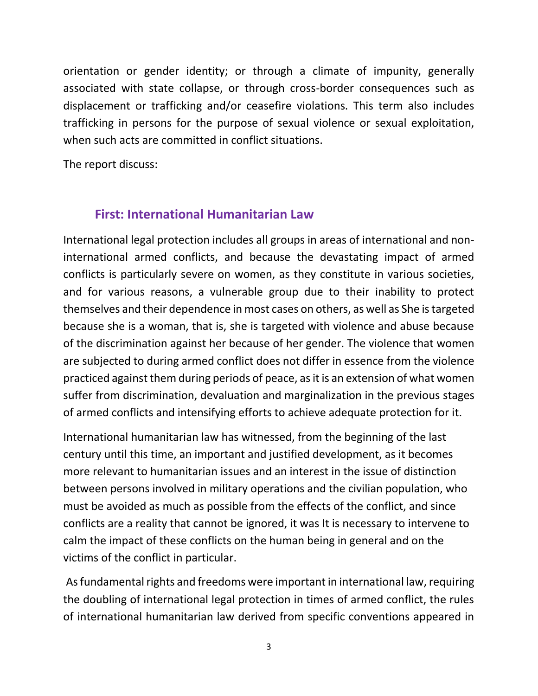orientation or gender identity; or through a climate of impunity, generally associated with state collapse, or through cross-border consequences such as displacement or trafficking and/or ceasefire violations. This term also includes trafficking in persons for the purpose of sexual violence or sexual exploitation, when such acts are committed in conflict situations.

The report discuss:

### **First: International Humanitarian Law**

International legal protection includes all groups in areas of international and noninternational armed conflicts, and because the devastating impact of armed conflicts is particularly severe on women, as they constitute in various societies, and for various reasons, a vulnerable group due to their inability to protect themselves and their dependence in most cases on others, as well as She is targeted because she is a woman, that is, she is targeted with violence and abuse because of the discrimination against her because of her gender. The violence that women are subjected to during armed conflict does not differ in essence from the violence practiced against them during periods of peace, as it is an extension of what women suffer from discrimination, devaluation and marginalization in the previous stages of armed conflicts and intensifying efforts to achieve adequate protection for it.

International humanitarian law has witnessed, from the beginning of the last century until this time, an important and justified development, as it becomes more relevant to humanitarian issues and an interest in the issue of distinction between persons involved in military operations and the civilian population, who must be avoided as much as possible from the effects of the conflict, and since conflicts are a reality that cannot be ignored, it was It is necessary to intervene to calm the impact of these conflicts on the human being in general and on the victims of the conflict in particular.

As fundamental rights and freedoms were important in international law, requiring the doubling of international legal protection in times of armed conflict, the rules of international humanitarian law derived from specific conventions appeared in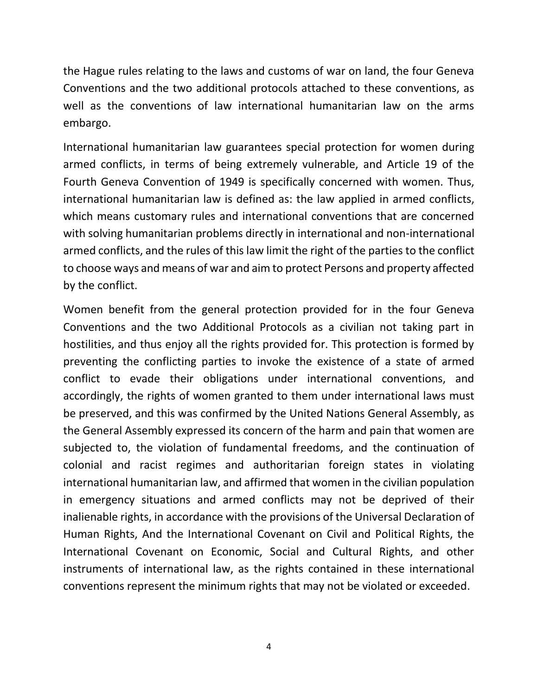the Hague rules relating to the laws and customs of war on land, the four Geneva Conventions and the two additional protocols attached to these conventions, as well as the conventions of law international humanitarian law on the arms embargo.

International humanitarian law guarantees special protection for women during armed conflicts, in terms of being extremely vulnerable, and Article 19 of the Fourth Geneva Convention of 1949 is specifically concerned with women. Thus, international humanitarian law is defined as: the law applied in armed conflicts, which means customary rules and international conventions that are concerned with solving humanitarian problems directly in international and non-international armed conflicts, and the rules of this law limit the right of the parties to the conflict to choose ways and means of war and aim to protect Persons and property affected by the conflict.

Women benefit from the general protection provided for in the four Geneva Conventions and the two Additional Protocols as a civilian not taking part in hostilities, and thus enjoy all the rights provided for. This protection is formed by preventing the conflicting parties to invoke the existence of a state of armed conflict to evade their obligations under international conventions, and accordingly, the rights of women granted to them under international laws must be preserved, and this was confirmed by the United Nations General Assembly, as the General Assembly expressed its concern of the harm and pain that women are subjected to, the violation of fundamental freedoms, and the continuation of colonial and racist regimes and authoritarian foreign states in violating international humanitarian law, and affirmed that women in the civilian population in emergency situations and armed conflicts may not be deprived of their inalienable rights, in accordance with the provisions of the Universal Declaration of Human Rights, And the International Covenant on Civil and Political Rights, the International Covenant on Economic, Social and Cultural Rights, and other instruments of international law, as the rights contained in these international conventions represent the minimum rights that may not be violated or exceeded.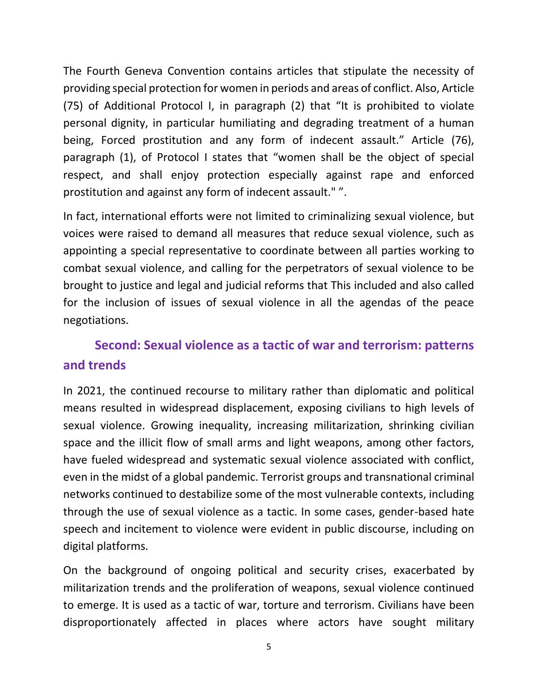The Fourth Geneva Convention contains articles that stipulate the necessity of providing special protection for women in periods and areas of conflict. Also, Article (75) of Additional Protocol I, in paragraph (2) that "It is prohibited to violate personal dignity, in particular humiliating and degrading treatment of a human being, Forced prostitution and any form of indecent assault." Article (76), paragraph (1), of Protocol I states that "women shall be the object of special respect, and shall enjoy protection especially against rape and enforced prostitution and against any form of indecent assault." ".

In fact, international efforts were not limited to criminalizing sexual violence, but voices were raised to demand all measures that reduce sexual violence, such as appointing a special representative to coordinate between all parties working to combat sexual violence, and calling for the perpetrators of sexual violence to be brought to justice and legal and judicial reforms that This included and also called for the inclusion of issues of sexual violence in all the agendas of the peace negotiations.

# **Second: Sexual violence as a tactic of war and terrorism: patterns and trends**

In 2021, the continued recourse to military rather than diplomatic and political means resulted in widespread displacement, exposing civilians to high levels of sexual violence. Growing inequality, increasing militarization, shrinking civilian space and the illicit flow of small arms and light weapons, among other factors, have fueled widespread and systematic sexual violence associated with conflict, even in the midst of a global pandemic. Terrorist groups and transnational criminal networks continued to destabilize some of the most vulnerable contexts, including through the use of sexual violence as a tactic. In some cases, gender-based hate speech and incitement to violence were evident in public discourse, including on digital platforms.

On the background of ongoing political and security crises, exacerbated by militarization trends and the proliferation of weapons, sexual violence continued to emerge. It is used as a tactic of war, torture and terrorism. Civilians have been disproportionately affected in places where actors have sought military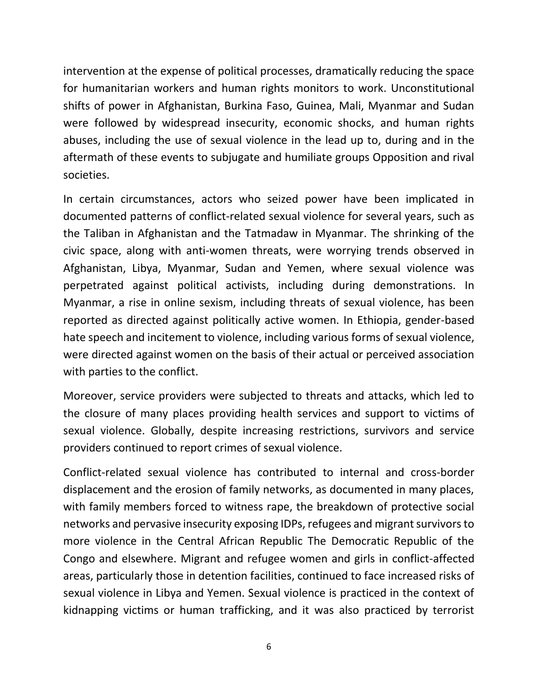intervention at the expense of political processes, dramatically reducing the space for humanitarian workers and human rights monitors to work. Unconstitutional shifts of power in Afghanistan, Burkina Faso, Guinea, Mali, Myanmar and Sudan were followed by widespread insecurity, economic shocks, and human rights abuses, including the use of sexual violence in the lead up to, during and in the aftermath of these events to subjugate and humiliate groups Opposition and rival societies.

In certain circumstances, actors who seized power have been implicated in documented patterns of conflict-related sexual violence for several years, such as the Taliban in Afghanistan and the Tatmadaw in Myanmar. The shrinking of the civic space, along with anti-women threats, were worrying trends observed in Afghanistan, Libya, Myanmar, Sudan and Yemen, where sexual violence was perpetrated against political activists, including during demonstrations. In Myanmar, a rise in online sexism, including threats of sexual violence, has been reported as directed against politically active women. In Ethiopia, gender-based hate speech and incitement to violence, including various forms of sexual violence, were directed against women on the basis of their actual or perceived association with parties to the conflict.

Moreover, service providers were subjected to threats and attacks, which led to the closure of many places providing health services and support to victims of sexual violence. Globally, despite increasing restrictions, survivors and service providers continued to report crimes of sexual violence.

Conflict-related sexual violence has contributed to internal and cross-border displacement and the erosion of family networks, as documented in many places, with family members forced to witness rape, the breakdown of protective social networks and pervasive insecurity exposing IDPs, refugees and migrant survivors to more violence in the Central African Republic The Democratic Republic of the Congo and elsewhere. Migrant and refugee women and girls in conflict-affected areas, particularly those in detention facilities, continued to face increased risks of sexual violence in Libya and Yemen. Sexual violence is practiced in the context of kidnapping victims or human trafficking, and it was also practiced by terrorist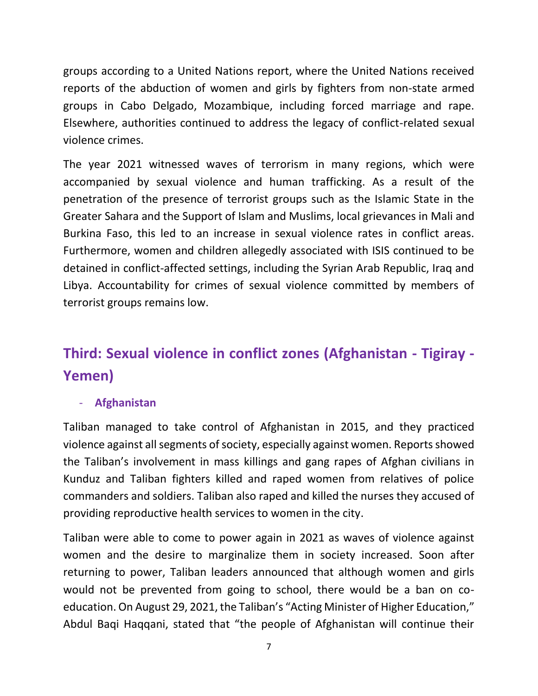groups according to a United Nations report, where the United Nations received reports of the abduction of women and girls by fighters from non-state armed groups in Cabo Delgado, Mozambique, including forced marriage and rape. Elsewhere, authorities continued to address the legacy of conflict-related sexual violence crimes.

The year 2021 witnessed waves of terrorism in many regions, which were accompanied by sexual violence and human trafficking. As a result of the penetration of the presence of terrorist groups such as the Islamic State in the Greater Sahara and the Support of Islam and Muslims, local grievances in Mali and Burkina Faso, this led to an increase in sexual violence rates in conflict areas. Furthermore, women and children allegedly associated with ISIS continued to be detained in conflict-affected settings, including the Syrian Arab Republic, Iraq and Libya. Accountability for crimes of sexual violence committed by members of terrorist groups remains low.

# **Third: Sexual violence in conflict zones (Afghanistan - Tigiray - Yemen)**

#### - **Afghanistan**

Taliban managed to take control of Afghanistan in 2015, and they practiced violence against all segments of society, especially against women. Reports showed the Taliban's involvement in mass killings and gang rapes of Afghan civilians in Kunduz and Taliban fighters killed and raped women from relatives of police commanders and soldiers. Taliban also raped and killed the nurses they accused of providing reproductive health services to women in the city.

Taliban were able to come to power again in 2021 as waves of violence against women and the desire to marginalize them in society increased. Soon after returning to power, Taliban leaders announced that although women and girls would not be prevented from going to school, there would be a ban on coeducation. On August 29, 2021, the Taliban's "Acting Minister of Higher Education," Abdul Baqi Haqqani, stated that "the people of Afghanistan will continue their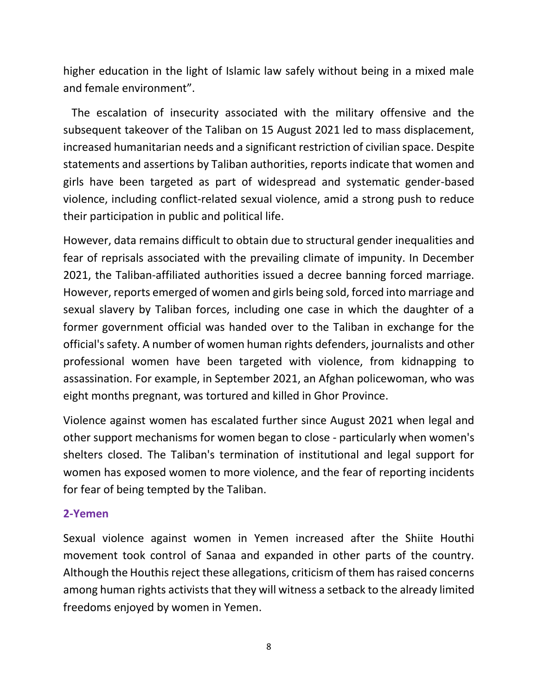higher education in the light of Islamic law safely without being in a mixed male and female environment".

 The escalation of insecurity associated with the military offensive and the subsequent takeover of the Taliban on 15 August 2021 led to mass displacement, increased humanitarian needs and a significant restriction of civilian space. Despite statements and assertions by Taliban authorities, reports indicate that women and girls have been targeted as part of widespread and systematic gender-based violence, including conflict-related sexual violence, amid a strong push to reduce their participation in public and political life.

However, data remains difficult to obtain due to structural gender inequalities and fear of reprisals associated with the prevailing climate of impunity. In December 2021, the Taliban-affiliated authorities issued a decree banning forced marriage. However, reports emerged of women and girls being sold, forced into marriage and sexual slavery by Taliban forces, including one case in which the daughter of a former government official was handed over to the Taliban in exchange for the official's safety. A number of women human rights defenders, journalists and other professional women have been targeted with violence, from kidnapping to assassination. For example, in September 2021, an Afghan policewoman, who was eight months pregnant, was tortured and killed in Ghor Province.

Violence against women has escalated further since August 2021 when legal and other support mechanisms for women began to close - particularly when women's shelters closed. The Taliban's termination of institutional and legal support for women has exposed women to more violence, and the fear of reporting incidents for fear of being tempted by the Taliban.

#### **2-Yemen**

Sexual violence against women in Yemen increased after the Shiite Houthi movement took control of Sanaa and expanded in other parts of the country. Although the Houthis reject these allegations, criticism of them has raised concerns among human rights activists that they will witness a setback to the already limited freedoms enjoyed by women in Yemen.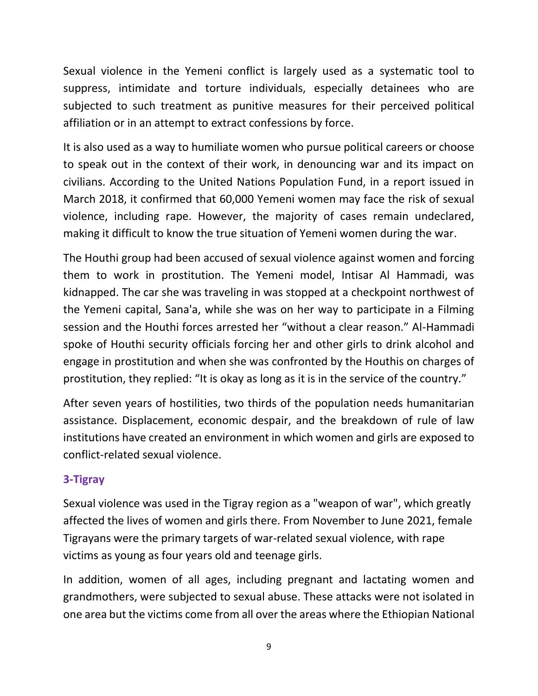Sexual violence in the Yemeni conflict is largely used as a systematic tool to suppress, intimidate and torture individuals, especially detainees who are subjected to such treatment as punitive measures for their perceived political affiliation or in an attempt to extract confessions by force.

It is also used as a way to humiliate women who pursue political careers or choose to speak out in the context of their work, in denouncing war and its impact on civilians. According to the United Nations Population Fund, in a report issued in March 2018, it confirmed that 60,000 Yemeni women may face the risk of sexual violence, including rape. However, the majority of cases remain undeclared, making it difficult to know the true situation of Yemeni women during the war.

The Houthi group had been accused of sexual violence against women and forcing them to work in prostitution. The Yemeni model, Intisar Al Hammadi, was kidnapped. The car she was traveling in was stopped at a checkpoint northwest of the Yemeni capital, Sana'a, while she was on her way to participate in a Filming session and the Houthi forces arrested her "without a clear reason." Al-Hammadi spoke of Houthi security officials forcing her and other girls to drink alcohol and engage in prostitution and when she was confronted by the Houthis on charges of prostitution, they replied: "It is okay as long as it is in the service of the country."

After seven years of hostilities, two thirds of the population needs humanitarian assistance. Displacement, economic despair, and the breakdown of rule of law institutions have created an environment in which women and girls are exposed to conflict-related sexual violence.

#### **3-Tigray**

Sexual violence was used in the Tigray region as a "weapon of war", which greatly affected the lives of women and girls there. From November to June 2021, female Tigrayans were the primary targets of war-related sexual violence, with rape victims as young as four years old and teenage girls.

In addition, women of all ages, including pregnant and lactating women and grandmothers, were subjected to sexual abuse. These attacks were not isolated in one area but the victims come from all over the areas where the Ethiopian National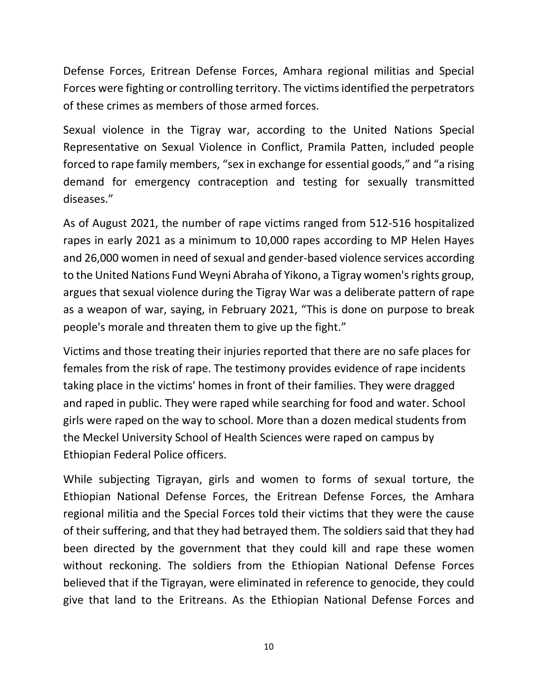Defense Forces, Eritrean Defense Forces, Amhara regional militias and Special Forces were fighting or controlling territory. The victims identified the perpetrators of these crimes as members of those armed forces.

Sexual violence in the Tigray war, according to the United Nations Special Representative on Sexual Violence in Conflict, Pramila Patten, included people forced to rape family members, "sex in exchange for essential goods," and "a rising demand for emergency contraception and testing for sexually transmitted diseases."

As of August 2021, the number of rape victims ranged from 512-516 hospitalized rapes in early 2021 as a minimum to 10,000 rapes according to MP Helen Hayes and 26,000 women in need of sexual and gender-based violence services according to the United Nations Fund Weyni Abraha of Yikono, a Tigray women's rights group, argues that sexual violence during the Tigray War was a deliberate pattern of rape as a weapon of war, saying, in February 2021, "This is done on purpose to break people's morale and threaten them to give up the fight."

Victims and those treating their injuries reported that there are no safe places for females from the risk of rape. The testimony provides evidence of rape incidents taking place in the victims' homes in front of their families. They were dragged and raped in public. They were raped while searching for food and water. School girls were raped on the way to school. More than a dozen medical students from the Meckel University School of Health Sciences were raped on campus by Ethiopian Federal Police officers.

While subjecting Tigrayan, girls and women to forms of sexual torture, the Ethiopian National Defense Forces, the Eritrean Defense Forces, the Amhara regional militia and the Special Forces told their victims that they were the cause of their suffering, and that they had betrayed them. The soldiers said that they had been directed by the government that they could kill and rape these women without reckoning. The soldiers from the Ethiopian National Defense Forces believed that if the Tigrayan, were eliminated in reference to genocide, they could give that land to the Eritreans. As the Ethiopian National Defense Forces and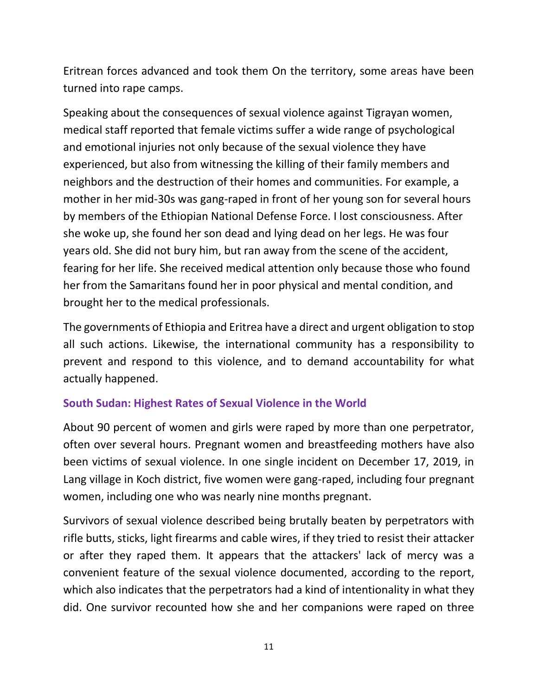Eritrean forces advanced and took them On the territory, some areas have been turned into rape camps.

Speaking about the consequences of sexual violence against Tigrayan women, medical staff reported that female victims suffer a wide range of psychological and emotional injuries not only because of the sexual violence they have experienced, but also from witnessing the killing of their family members and neighbors and the destruction of their homes and communities. For example, a mother in her mid-30s was gang-raped in front of her young son for several hours by members of the Ethiopian National Defense Force. I lost consciousness. After she woke up, she found her son dead and lying dead on her legs. He was four years old. She did not bury him, but ran away from the scene of the accident, fearing for her life. She received medical attention only because those who found her from the Samaritans found her in poor physical and mental condition, and brought her to the medical professionals.

The governments of Ethiopia and Eritrea have a direct and urgent obligation to stop all such actions. Likewise, the international community has a responsibility to prevent and respond to this violence, and to demand accountability for what actually happened.

#### **South Sudan: Highest Rates of Sexual Violence in the World**

About 90 percent of women and girls were raped by more than one perpetrator, often over several hours. Pregnant women and breastfeeding mothers have also been victims of sexual violence. In one single incident on December 17, 2019, in Lang village in Koch district, five women were gang-raped, including four pregnant women, including one who was nearly nine months pregnant.

Survivors of sexual violence described being brutally beaten by perpetrators with rifle butts, sticks, light firearms and cable wires, if they tried to resist their attacker or after they raped them. It appears that the attackers' lack of mercy was a convenient feature of the sexual violence documented, according to the report, which also indicates that the perpetrators had a kind of intentionality in what they did. One survivor recounted how she and her companions were raped on three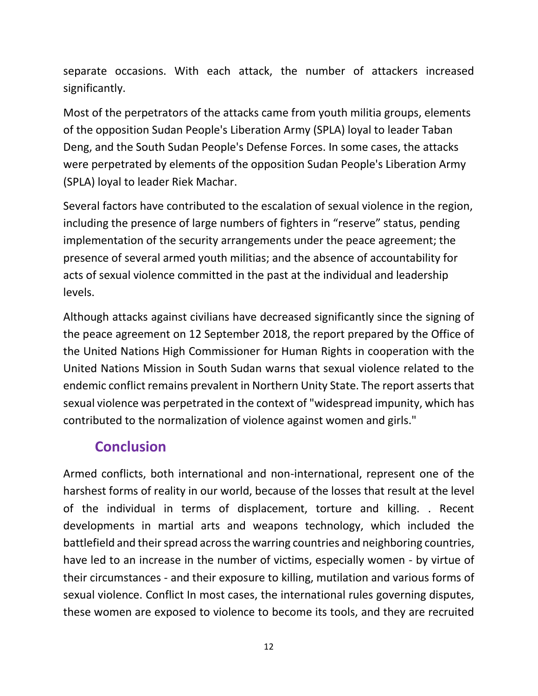separate occasions. With each attack, the number of attackers increased significantly.

Most of the perpetrators of the attacks came from youth militia groups, elements of the opposition Sudan People's Liberation Army (SPLA) loyal to leader Taban Deng, and the South Sudan People's Defense Forces. In some cases, the attacks were perpetrated by elements of the opposition Sudan People's Liberation Army (SPLA) loyal to leader Riek Machar.

Several factors have contributed to the escalation of sexual violence in the region, including the presence of large numbers of fighters in "reserve" status, pending implementation of the security arrangements under the peace agreement; the presence of several armed youth militias; and the absence of accountability for acts of sexual violence committed in the past at the individual and leadership levels.

Although attacks against civilians have decreased significantly since the signing of the peace agreement on 12 September 2018, the report prepared by the Office of the United Nations High Commissioner for Human Rights in cooperation with the United Nations Mission in South Sudan warns that sexual violence related to the endemic conflict remains prevalent in Northern Unity State. The report asserts that sexual violence was perpetrated in the context of "widespread impunity, which has contributed to the normalization of violence against women and girls."

## **Conclusion**

Armed conflicts, both international and non-international, represent one of the harshest forms of reality in our world, because of the losses that result at the level of the individual in terms of displacement, torture and killing. . Recent developments in martial arts and weapons technology, which included the battlefield and their spread across the warring countries and neighboring countries, have led to an increase in the number of victims, especially women - by virtue of their circumstances - and their exposure to killing, mutilation and various forms of sexual violence. Conflict In most cases, the international rules governing disputes, these women are exposed to violence to become its tools, and they are recruited